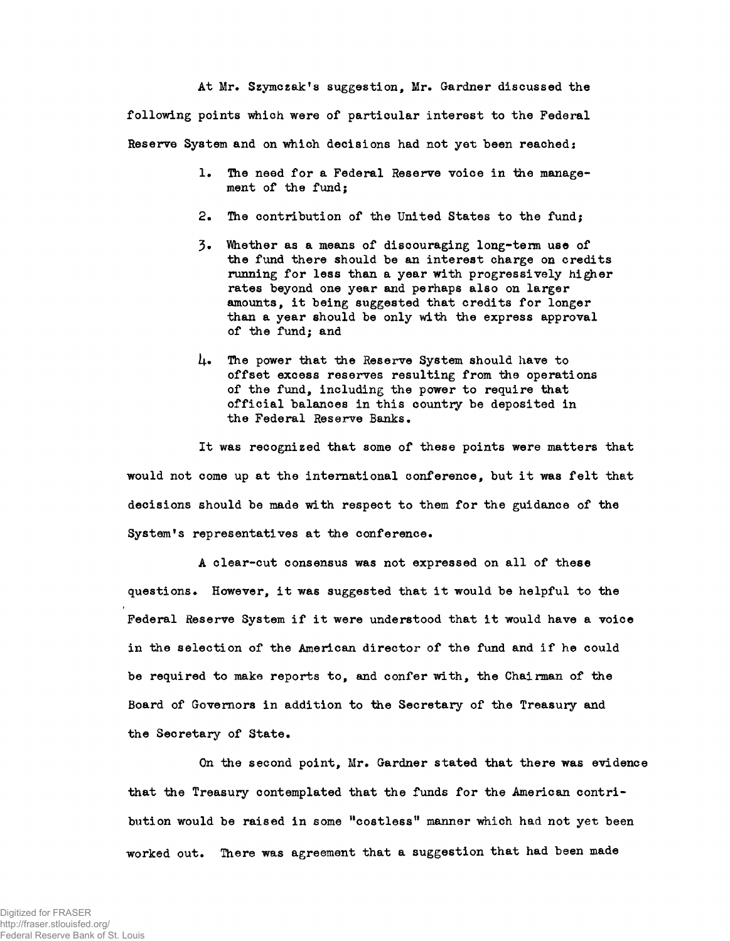At Mr. Szymczak's suggestion, Mr. Gardner discussed the following points which were of particular interest to the Federal Reserve System and on which decisions had not yet been reached:

- 1. The need for a Federal Reserve voice in the management of the fund;
- 2. The contribution of the United States to the fund;
- 3» Ihether as a means of discouraging long-term use of the fund there should be an interest charge on credits running for less than a year with progressively higher rates beyond one year and perhaps also on larger amounts, it being suggested that credits for longer than a year should be only with the express approval of the fund; and
- 4. The power that the Reserve System should have to offset excess reserves resulting from the operations of the fund, including the power to require that official balances in this country be deposited in the Federal Reserve Banks.

It was recognized that some of these points were matters that would not come up at the international conference, but it was felt that decisions should be made with respect to them for the guidance of the System's representatives at the conference.

A clear-cut consensus was not expressed on all of these questions. However, it was suggested that it would be helpful to the Federal Reserve System if it were understood that it would have a voice in the selection of the American director of the fund and if he could be required to make reports to, and confer with, the Chairman of the Board of Governors in addition to the Secretary of the Treasury and the Secretary of State.

On the second point, Mr. Gardner stated that there was evidence that the Treasury contemplated that the funds for the American contribution would be raised in some "costless" manner which had not yet been worked out. There was agreement that a suggestion that had been made